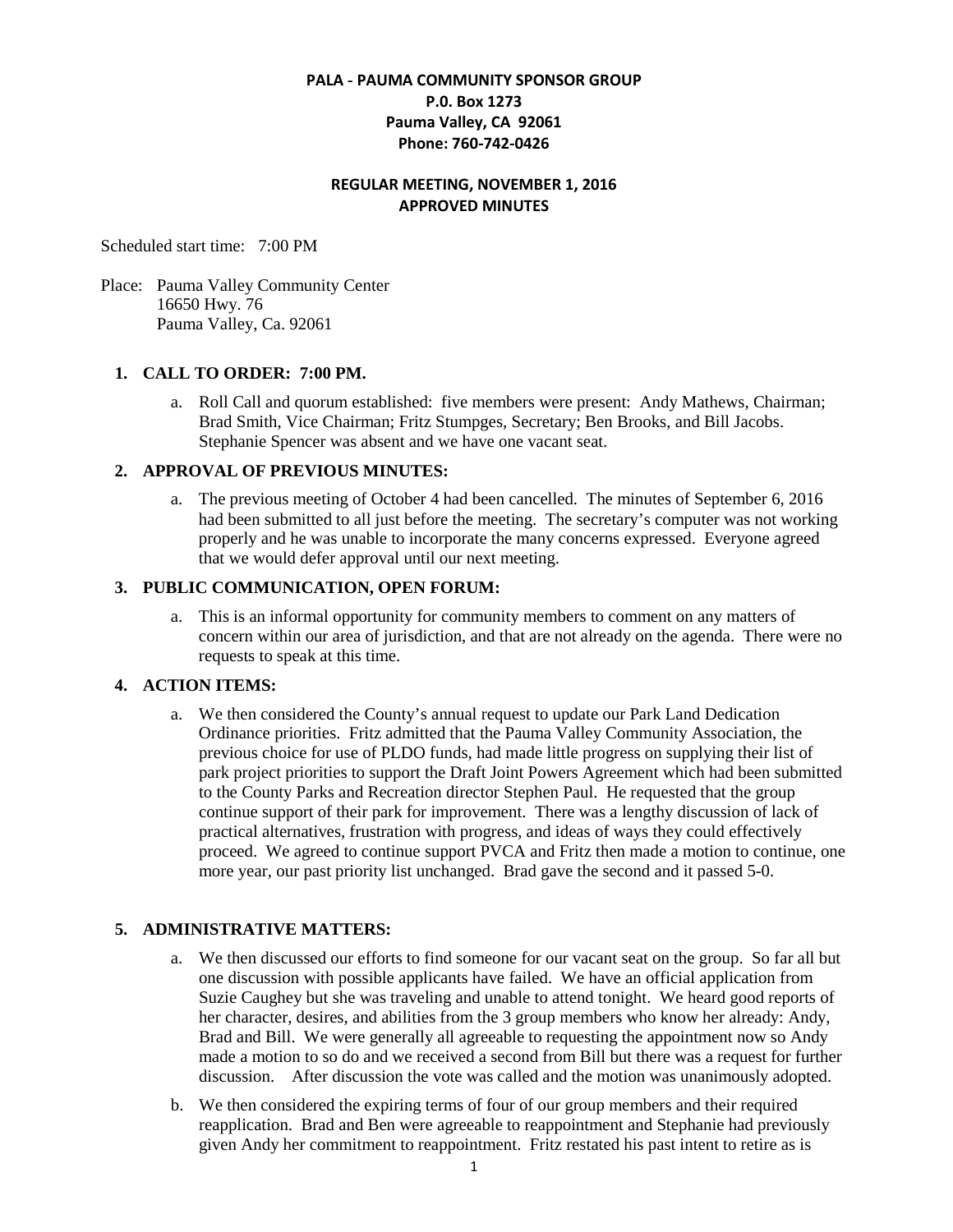# **PALA - PAUMA COMMUNITY SPONSOR GROUP P.0. Box 1273 Pauma Valley, CA 92061 Phone: 760-742-0426**

## **REGULAR MEETING, NOVEMBER 1, 2016 APPROVED MINUTES**

Scheduled start time: 7:00 PM

Place: Pauma Valley Community Center 16650 Hwy. 76 Pauma Valley, Ca. 92061

## **1. CALL TO ORDER: 7:00 PM.**

a. Roll Call and quorum established: five members were present: Andy Mathews, Chairman; Brad Smith, Vice Chairman; Fritz Stumpges, Secretary; Ben Brooks, and Bill Jacobs. Stephanie Spencer was absent and we have one vacant seat.

#### **2. APPROVAL OF PREVIOUS MINUTES:**

a. The previous meeting of October 4 had been cancelled. The minutes of September 6, 2016 had been submitted to all just before the meeting. The secretary's computer was not working properly and he was unable to incorporate the many concerns expressed. Everyone agreed that we would defer approval until our next meeting.

#### **3. PUBLIC COMMUNICATION, OPEN FORUM:**

a. This is an informal opportunity for community members to comment on any matters of concern within our area of jurisdiction, and that are not already on the agenda. There were no requests to speak at this time.

## **4. ACTION ITEMS:**

a. We then considered the County's annual request to update our Park Land Dedication Ordinance priorities. Fritz admitted that the Pauma Valley Community Association, the previous choice for use of PLDO funds, had made little progress on supplying their list of park project priorities to support the Draft Joint Powers Agreement which had been submitted to the County Parks and Recreation director Stephen Paul. He requested that the group continue support of their park for improvement. There was a lengthy discussion of lack of practical alternatives, frustration with progress, and ideas of ways they could effectively proceed. We agreed to continue support PVCA and Fritz then made a motion to continue, one more year, our past priority list unchanged. Brad gave the second and it passed 5-0.

## **5. ADMINISTRATIVE MATTERS:**

- a. We then discussed our efforts to find someone for our vacant seat on the group. So far all but one discussion with possible applicants have failed. We have an official application from Suzie Caughey but she was traveling and unable to attend tonight. We heard good reports of her character, desires, and abilities from the 3 group members who know her already: Andy, Brad and Bill. We were generally all agreeable to requesting the appointment now so Andy made a motion to so do and we received a second from Bill but there was a request for further discussion. After discussion the vote was called and the motion was unanimously adopted.
- b. We then considered the expiring terms of four of our group members and their required reapplication. Brad and Ben were agreeable to reappointment and Stephanie had previously given Andy her commitment to reappointment. Fritz restated his past intent to retire as is